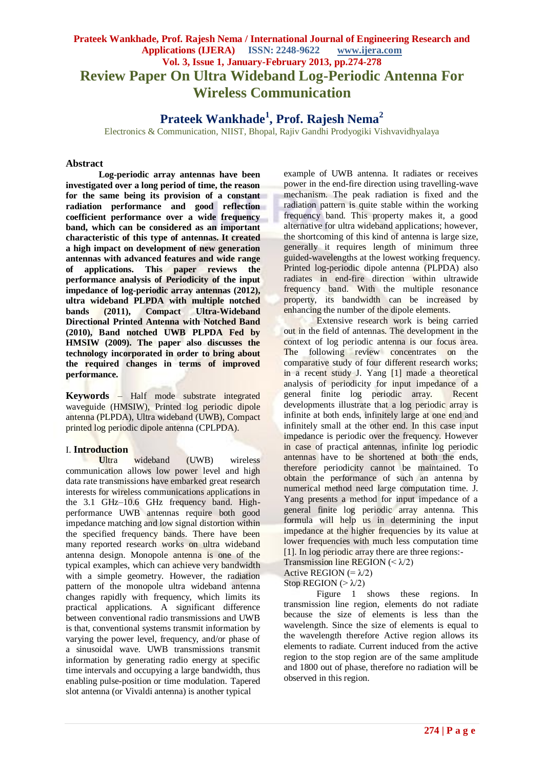# **Prateek Wankhade, Prof. Rajesh Nema / International Journal of Engineering Research and Applications (IJERA) ISSN: 2248-9622 www.ijera.com Vol. 3, Issue 1, January-February 2013, pp.274-278 Review Paper On Ultra Wideband Log-Periodic Antenna For Wireless Communication**

# **Prateek Wankhade<sup>1</sup> , Prof. Rajesh Nema<sup>2</sup>**

Electronics & Communication, NIIST, Bhopal, Rajiv Gandhi Prodyogiki Vishvavidhyalaya

#### **Abstract**

**Log-periodic array antennas have been investigated over a long period of time, the reason for the same being its provision of a constant radiation performance and good reflection coefficient performance over a wide frequency band, which can be considered as an important characteristic of this type of antennas. It created a high impact on development of new generation antennas with advanced features and wide range of applications. This paper reviews the performance analysis of Periodicity of the input impedance of log-periodic array antennas (2012), ultra wideband PLPDA with multiple notched bands (2011), Compact Ultra-Wideband Directional Printed Antenna with Notched Band (2010), Band notched UWB PLPDA Fed by HMSIW (2009). The paper also discusses the technology incorporated in order to bring about the required changes in terms of improved performance.**

**Keywords** – Half mode substrate integrated waveguide (HMSIW), Printed log periodic dipole antenna (PLPDA), Ultra wideband (UWB), Compact printed log periodic dipole antenna (CPLPDA).

#### I. **Introduction**

Ultra wideband (UWB) wireless communication allows low power level and high data rate transmissions have embarked great research interests for wireless communications applications in the 3.1 GHz–10.6 GHz frequency band. Highperformance UWB antennas require both good impedance matching and low signal distortion within the specified frequency bands. There have been many reported research works on ultra wideband antenna design. Monopole antenna is one of the typical examples, which can achieve very bandwidth with a simple geometry. However, the radiation pattern of the monopole ultra wideband antenna changes rapidly with frequency, which limits its practical applications. A significant difference between conventional radio transmissions and UWB is that, conventional systems transmit information by varying the power level, frequency, and/or phase of a sinusoidal wave. UWB transmissions transmit information by generating radio energy at specific time intervals and occupying a large bandwidth, thus enabling pulse-position or time modulation. Tapered slot antenna (or Vivaldi antenna) is another typical

example of UWB antenna. It radiates or receives power in the end-fire direction using travelling-wave mechanism. The peak radiation is fixed and the radiation pattern is quite stable within the working frequency band. This property makes it, a good alternative for ultra wideband applications; however, the shortcoming of this kind of antenna is large size, generally it requires length of minimum three guided-wavelengths at the lowest working frequency. Printed log-periodic dipole antenna (PLPDA) also radiates in end-fire direction within ultrawide frequency band. With the multiple resonance property, its bandwidth can be increased by enhancing the number of the dipole elements.

Extensive research work is being carried out in the field of antennas. The development in the context of log periodic antenna is our focus area. The following review concentrates on the comparative study of four different research works; in a recent study J. Yang [1] made a theoretical analysis of periodicity for input impedance of a general finite log periodic array. Recent developments illustrate that a log periodic array is infinite at both ends, infinitely large at one end and infinitely small at the other end. In this case input impedance is periodic over the frequency. However in case of practical antennas, infinite log periodic antennas have to be shortened at both the ends, therefore periodicity cannot be maintained. To obtain the performance of such an antenna by numerical method need large computation time. J. Yang presents a method for input impedance of a general finite log periodic array antenna. This formula will help us in determining the input impedance at the higher frequencies by its value at lower frequencies with much less computation time [1]. In log periodic array there are three regions:-

Transmission line REGION  $( $\lambda/2$ )$ 

Active REGION  $(=\lambda/2)$ 

Stop REGION ( $>\lambda/2$ )

Figure 1 shows these regions. In transmission line region, elements do not radiate because the size of elements is less than the wavelength. Since the size of elements is equal to the wavelength therefore Active region allows its elements to radiate. Current induced from the active region to the stop region are of the same amplitude and 1800 out of phase, therefore no radiation will be observed in this region.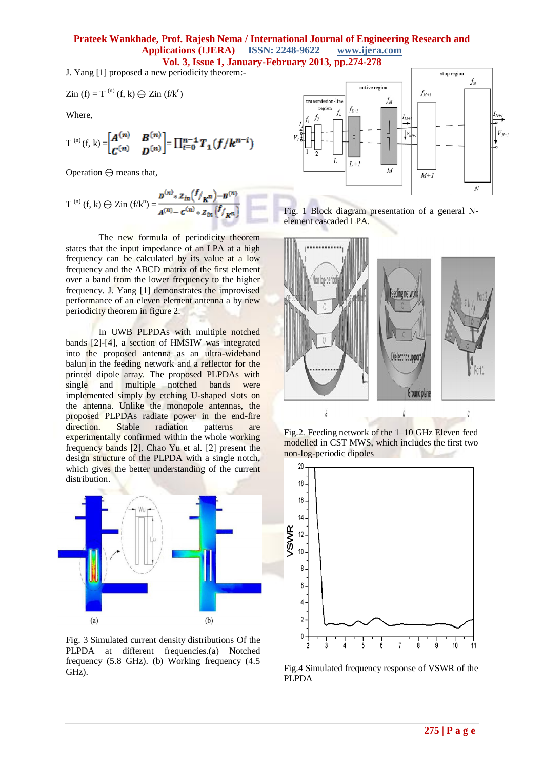J. Yang [1] proposed a new periodicity theorem:-

$$
Zin (f) = T^{(n)}(f, k) \ominus Zin (f/k^n)
$$

Where,

$$
T^{(n)}(f, k) = \begin{bmatrix} A^{(n)} & B^{(n)} \\ C^{(n)} & D^{(n)} \end{bmatrix} = \prod_{i=0}^{n-1} T_1(f/k^{n-i})
$$

Operation ⊖ means that,

T<sup>(n)</sup> (f, k) 
$$
\ominus
$$
 Zin (f/k<sup>n</sup>) =  $\frac{B^{(n)} * z_{in}(f_{k}) - B^{(n)}}{A^{(n)} - C^{(n)} * z_{in}(f_{k})}$ 

The new formula of periodicity theorem states that the input impedance of an LPA at a high frequency can be calculated by its value at a low frequency and the ABCD matrix of the first element over a band from the lower frequency to the higher frequency. J. Yang [1] demonstrates the improvised performance of an eleven element antenna a by new periodicity theorem in figure 2.

In UWB PLPDAs with multiple notched bands [2]-[4], a section of HMSIW was integrated into the proposed antenna as an ultra-wideband balun in the feeding network and a reflector for the printed dipole array. The proposed PLPDAs with single and multiple notched bands were implemented simply by etching U-shaped slots on the antenna. Unlike the monopole antennas, the proposed PLPDAs radiate power in the end-fire direction. Stable radiation patterns are experimentally confirmed within the whole working frequency bands [2]. Chao Yu et al. [2] present the design structure of the PLPDA with a single notch, which gives the better understanding of the current distribution.



Fig. 3 Simulated current density distributions Of the PLPDA at different frequencies.(a) Notched frequency (5.8 GHz). (b) Working frequency (4.5 GHz).



Fig. 1 Block diagram presentation of a general Nelement cascaded LPA.



Fig.2. Feeding network of the 1–10 GHz Eleven feed modelled in CST MWS, which includes the first two non-log-periodic dipoles



Fig.4 Simulated frequency response of VSWR of the PLPDA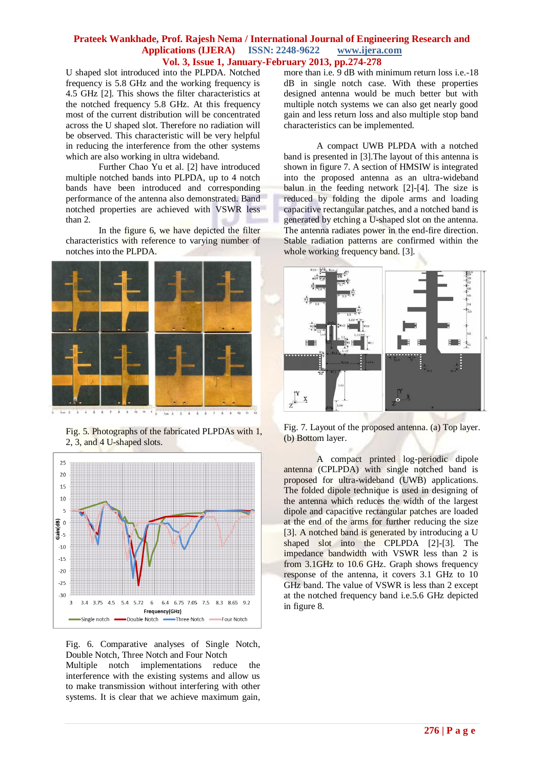U shaped slot introduced into the PLPDA. Notched frequency is 5.8 GHz and the working frequency is 4.5 GHz [2]. This shows the filter characteristics at the notched frequency 5.8 GHz. At this frequency most of the current distribution will be concentrated across the U shaped slot. Therefore no radiation will be observed. This characteristic will be very helpful in reducing the interference from the other systems which are also working in ultra wideband.

Further Chao Yu et al. [2] have introduced multiple notched bands into PLPDA, up to 4 notch bands have been introduced and corresponding performance of the antenna also demonstrated. Band notched properties are achieved with VSWR less than 2.

In the figure 6, we have depicted the filter characteristics with reference to varying number of notches into the PLPDA.



Fig. 5. Photographs of the fabricated PLPDAs with 1, 2, 3, and 4 U-shaped slots.



Fig. 6. Comparative analyses of Single Notch, Double Notch, Three Notch and Four Notch Multiple notch implementations reduce the interference with the existing systems and allow us to make transmission without interfering with other

systems. It is clear that we achieve maximum gain,

more than i.e. 9 dB with minimum return loss i.e.-18 dB in single notch case. With these properties designed antenna would be much better but with multiple notch systems we can also get nearly good gain and less return loss and also multiple stop band characteristics can be implemented.

A compact UWB PLPDA with a notched band is presented in [3].The layout of this antenna is shown in figure 7. A section of HMSIW is integrated into the proposed antenna as an ultra-wideband balun in the feeding network [2]-[4]. The size is reduced by folding the dipole arms and loading capacitive rectangular patches, and a notched band is generated by etching a U-shaped slot on the antenna. The antenna radiates power in the end-fire direction. Stable radiation patterns are confirmed within the whole working frequency band. [3].



Fig. 7. Layout of the proposed antenna. (a) Top layer. (b) Bottom layer.

A compact printed log-periodic dipole antenna (CPLPDA) with single notched band is proposed for ultra-wideband (UWB) applications. The folded dipole technique is used in designing of the antenna which reduces the width of the largest dipole and capacitive rectangular patches are loaded at the end of the arms for further reducing the size [3]. A notched band is generated by introducing a U shaped slot into the CPLPDA [2]-[3]. The impedance bandwidth with VSWR less than 2 is from 3.1GHz to 10.6 GHz. Graph shows frequency response of the antenna, it covers 3.1 GHz to 10 GHz band. The value of VSWR is less than 2 except at the notched frequency band i.e.5.6 GHz depicted in figure 8.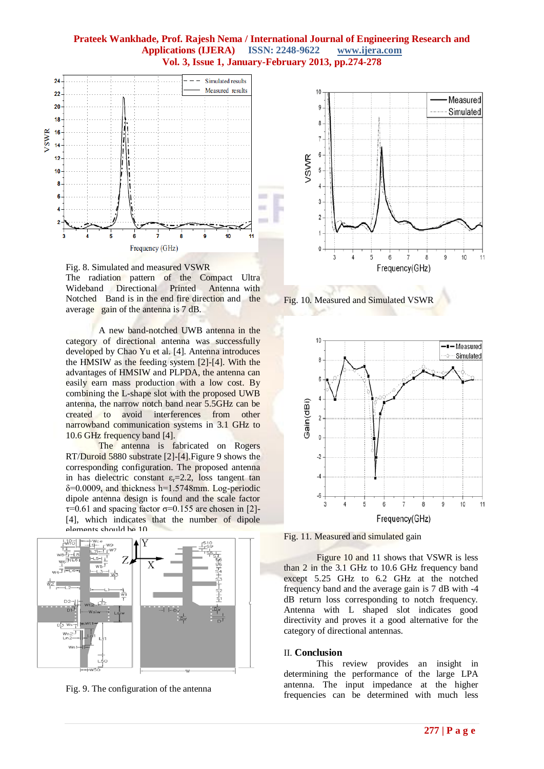

Fig. 8. Simulated and measured VSWR The radiation pattern of the Compact Ultra Wideband Directional Printed Antenna with Notched Band is in the end fire direction and the average gain of the antenna is 7 dB.

A new band-notched UWB antenna in the category of directional antenna was successfully developed by Chao Yu et al. [4]. Antenna introduces the HMSIW as the feeding system [2]-[4]. With the advantages of HMSIW and PLPDA, the antenna can easily earn mass production with a low cost. By combining the L-shape slot with the proposed UWB antenna, the narrow notch band near 5.5GHz can be created to avoid interferences from other narrowband communication systems in 3.1 GHz to 10.6 GHz frequency band [4].

The antenna is fabricated on Rogers RT/Duroid 5880 substrate [2]-[4].Figure 9 shows the corresponding configuration. The proposed antenna in has dielectric constant  $\varepsilon_r = 2.2$ , loss tangent tan  $\delta$ =0.0009, and thickness h=1.5748mm. Log-periodic dipole antenna design is found and the scale factor  $\tau$ =0.61 and spacing factor  $\sigma$ =0.155 are chosen in [2]-[4], which indicates that the number of dipole elements should be 10.



Fig. 9. The configuration of the antenna



Fig. 10. Measured and Simulated VSWR



Fig. 11. Measured and simulated gain

Figure 10 and 11 shows that VSWR is less than 2 in the 3.1 GHz to 10.6 GHz frequency band except 5.25 GHz to 6.2 GHz at the notched frequency band and the average gain is 7 dB with -4 dB return loss corresponding to notch frequency. Antenna with L shaped slot indicates good directivity and proves it a good alternative for the category of directional antennas.

#### II. **Conclusion**

This review provides an insight in determining the performance of the large LPA antenna. The input impedance at the higher frequencies can be determined with much less